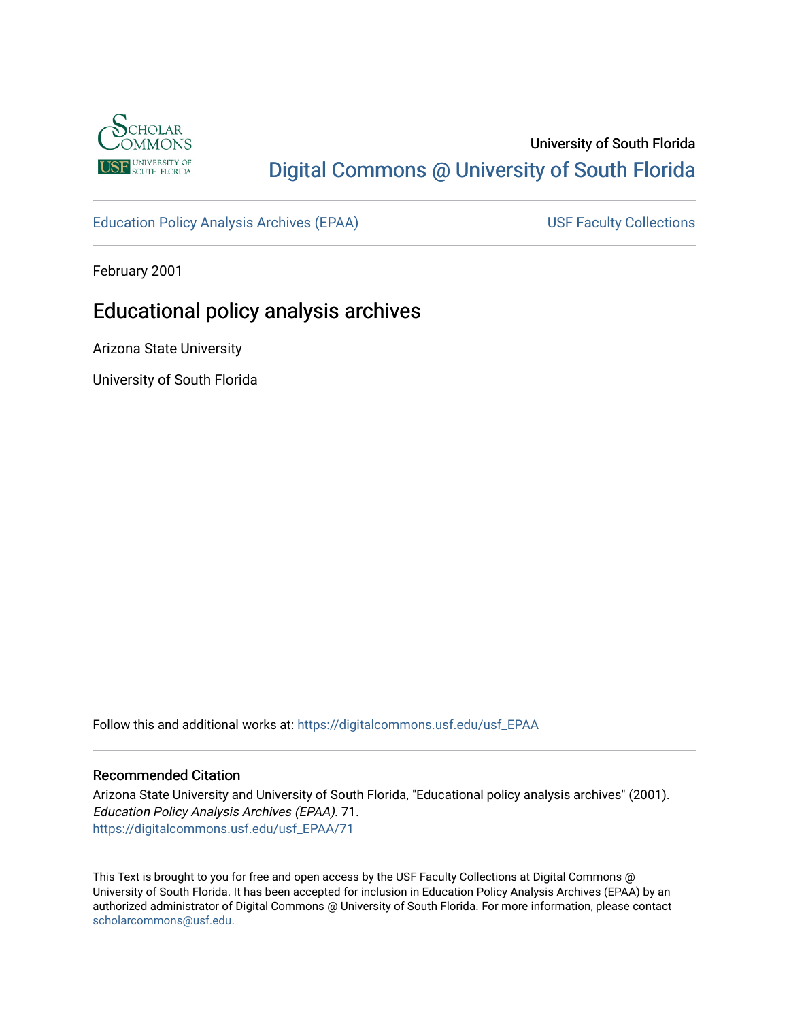

# University of South Florida [Digital Commons @ University of South Florida](https://digitalcommons.usf.edu/)

[Education Policy Analysis Archives \(EPAA\)](https://digitalcommons.usf.edu/usf_EPAA) USF Faculty Collections

February 2001

# Educational policy analysis archives

Arizona State University

University of South Florida

Follow this and additional works at: [https://digitalcommons.usf.edu/usf\\_EPAA](https://digitalcommons.usf.edu/usf_EPAA?utm_source=digitalcommons.usf.edu%2Fusf_EPAA%2F71&utm_medium=PDF&utm_campaign=PDFCoverPages)

### Recommended Citation

Arizona State University and University of South Florida, "Educational policy analysis archives" (2001). Education Policy Analysis Archives (EPAA). 71. [https://digitalcommons.usf.edu/usf\\_EPAA/71](https://digitalcommons.usf.edu/usf_EPAA/71?utm_source=digitalcommons.usf.edu%2Fusf_EPAA%2F71&utm_medium=PDF&utm_campaign=PDFCoverPages) 

This Text is brought to you for free and open access by the USF Faculty Collections at Digital Commons @ University of South Florida. It has been accepted for inclusion in Education Policy Analysis Archives (EPAA) by an authorized administrator of Digital Commons @ University of South Florida. For more information, please contact [scholarcommons@usf.edu.](mailto:scholarcommons@usf.edu)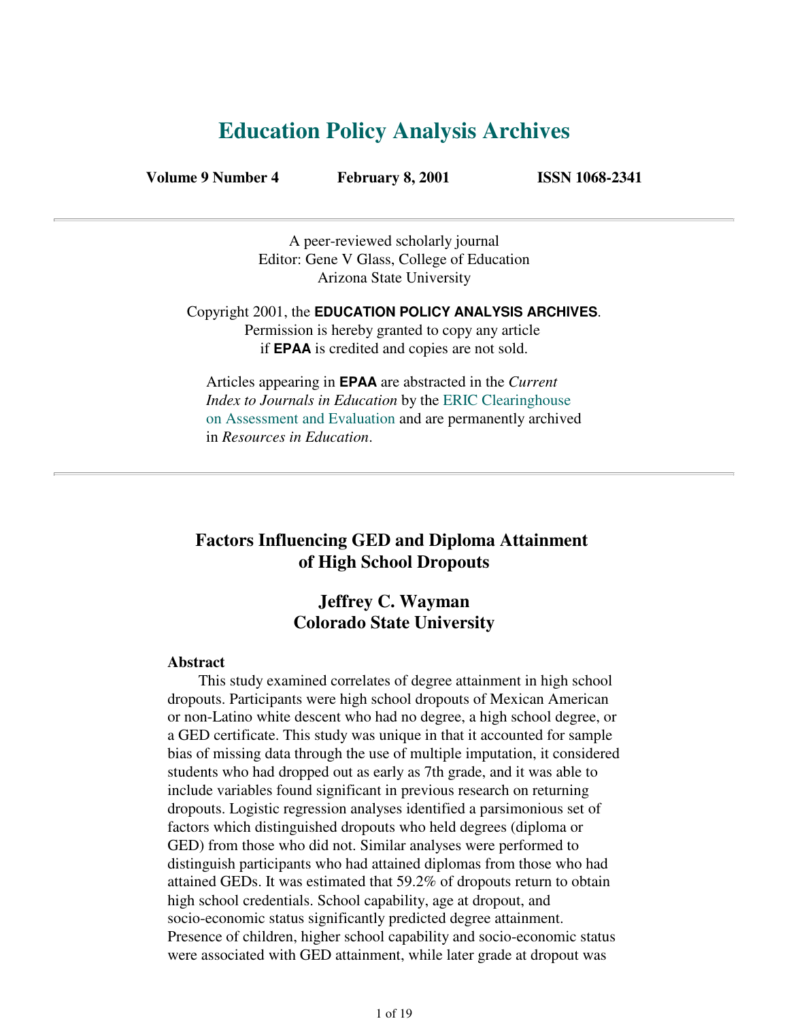# **Education Policy Analysis Archives**

**Volume 9 Number 4 February 8, 2001 ISSN 1068-2341**

A peer-reviewed scholarly journal Editor: Gene V Glass, College of Education Arizona State University

Copyright 2001, the **EDUCATION POLICY ANALYSIS ARCHIVES**. Permission is hereby granted to copy any article if **EPAA** is credited and copies are not sold.

Articles appearing in **EPAA** are abstracted in the *Current Index to Journals in Education* by the ERIC Clearinghouse on Assessment and Evaluation and are permanently archived in *Resources in Education*.

# **Factors Influencing GED and Diploma Attainment of High School Dropouts**

# **Jeffrey C. Wayman Colorado State University**

### **Abstract**

 This study examined correlates of degree attainment in high school dropouts. Participants were high school dropouts of Mexican American or non-Latino white descent who had no degree, a high school degree, or a GED certificate. This study was unique in that it accounted for sample bias of missing data through the use of multiple imputation, it considered students who had dropped out as early as 7th grade, and it was able to include variables found significant in previous research on returning dropouts. Logistic regression analyses identified a parsimonious set of factors which distinguished dropouts who held degrees (diploma or GED) from those who did not. Similar analyses were performed to distinguish participants who had attained diplomas from those who had attained GEDs. It was estimated that 59.2% of dropouts return to obtain high school credentials. School capability, age at dropout, and socio-economic status significantly predicted degree attainment. Presence of children, higher school capability and socio-economic status were associated with GED attainment, while later grade at dropout was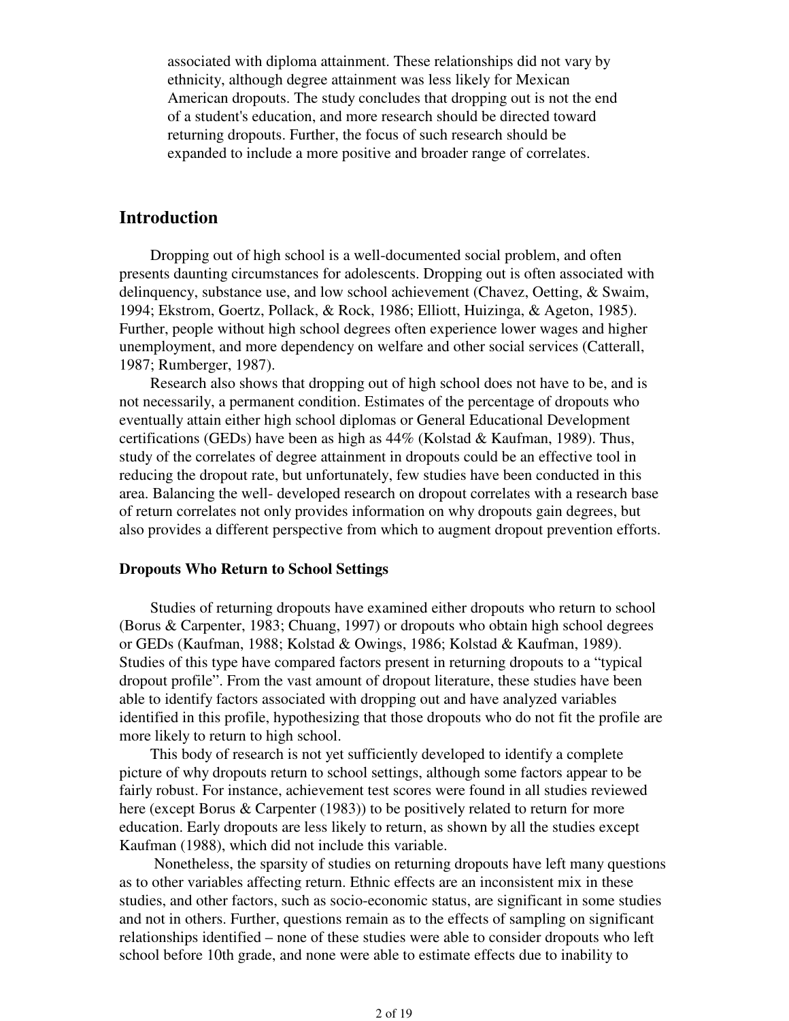associated with diploma attainment. These relationships did not vary by ethnicity, although degree attainment was less likely for Mexican American dropouts. The study concludes that dropping out is not the end of a student's education, and more research should be directed toward returning dropouts. Further, the focus of such research should be expanded to include a more positive and broader range of correlates.

## **Introduction**

 Dropping out of high school is a well-documented social problem, and often presents daunting circumstances for adolescents. Dropping out is often associated with delinquency, substance use, and low school achievement (Chavez, Oetting, & Swaim, 1994; Ekstrom, Goertz, Pollack, & Rock, 1986; Elliott, Huizinga, & Ageton, 1985). Further, people without high school degrees often experience lower wages and higher unemployment, and more dependency on welfare and other social services (Catterall, 1987; Rumberger, 1987).

 Research also shows that dropping out of high school does not have to be, and is not necessarily, a permanent condition. Estimates of the percentage of dropouts who eventually attain either high school diplomas or General Educational Development certifications (GEDs) have been as high as  $44\%$  (Kolstad & Kaufman, 1989). Thus, study of the correlates of degree attainment in dropouts could be an effective tool in reducing the dropout rate, but unfortunately, few studies have been conducted in this area. Balancing the well- developed research on dropout correlates with a research base of return correlates not only provides information on why dropouts gain degrees, but also provides a different perspective from which to augment dropout prevention efforts.

## **Dropouts Who Return to School Settings**

 Studies of returning dropouts have examined either dropouts who return to school (Borus & Carpenter, 1983; Chuang, 1997) or dropouts who obtain high school degrees or GEDs (Kaufman, 1988; Kolstad & Owings, 1986; Kolstad & Kaufman, 1989). Studies of this type have compared factors present in returning dropouts to a "typical dropout profile". From the vast amount of dropout literature, these studies have been able to identify factors associated with dropping out and have analyzed variables identified in this profile, hypothesizing that those dropouts who do not fit the profile are more likely to return to high school.

 This body of research is not yet sufficiently developed to identify a complete picture of why dropouts return to school settings, although some factors appear to be fairly robust. For instance, achievement test scores were found in all studies reviewed here (except Borus & Carpenter (1983)) to be positively related to return for more education. Early dropouts are less likely to return, as shown by all the studies except Kaufman (1988), which did not include this variable.

 Nonetheless, the sparsity of studies on returning dropouts have left many questions as to other variables affecting return. Ethnic effects are an inconsistent mix in these studies, and other factors, such as socio-economic status, are significant in some studies and not in others. Further, questions remain as to the effects of sampling on significant relationships identified – none of these studies were able to consider dropouts who left school before 10th grade, and none were able to estimate effects due to inability to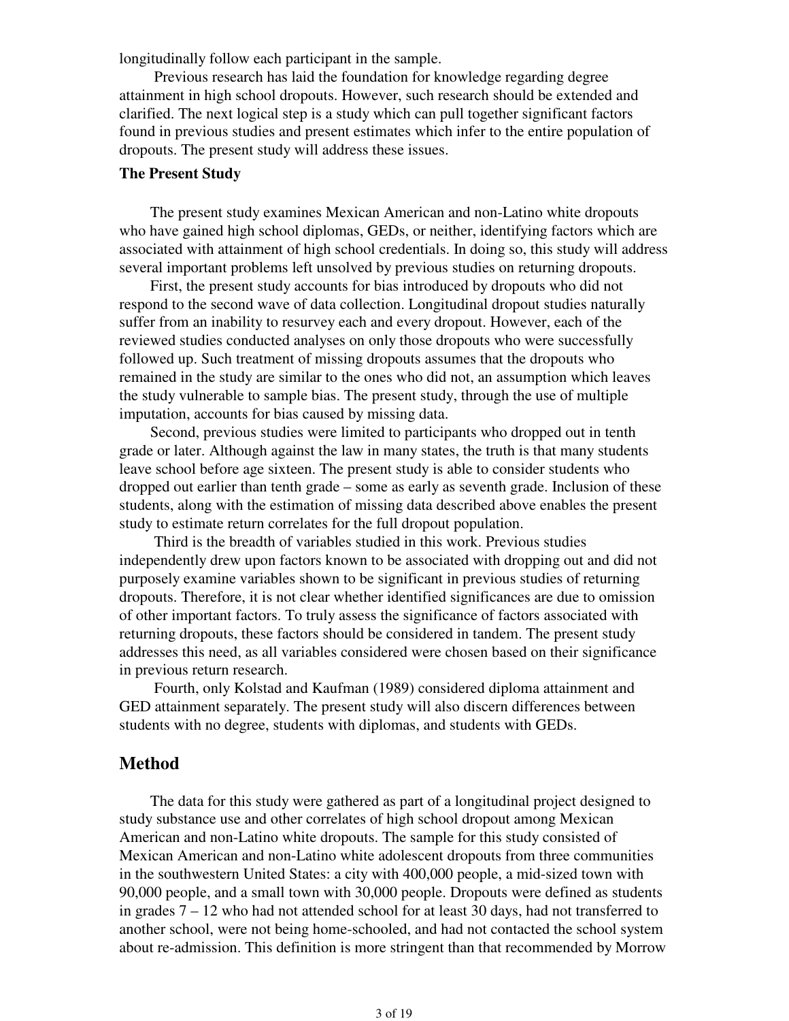longitudinally follow each participant in the sample.

 Previous research has laid the foundation for knowledge regarding degree attainment in high school dropouts. However, such research should be extended and clarified. The next logical step is a study which can pull together significant factors found in previous studies and present estimates which infer to the entire population of dropouts. The present study will address these issues.

## **The Present Study**

 The present study examines Mexican American and non-Latino white dropouts who have gained high school diplomas, GEDs, or neither, identifying factors which are associated with attainment of high school credentials. In doing so, this study will address several important problems left unsolved by previous studies on returning dropouts.

 First, the present study accounts for bias introduced by dropouts who did not respond to the second wave of data collection. Longitudinal dropout studies naturally suffer from an inability to resurvey each and every dropout. However, each of the reviewed studies conducted analyses on only those dropouts who were successfully followed up. Such treatment of missing dropouts assumes that the dropouts who remained in the study are similar to the ones who did not, an assumption which leaves the study vulnerable to sample bias. The present study, through the use of multiple imputation, accounts for bias caused by missing data.

 Second, previous studies were limited to participants who dropped out in tenth grade or later. Although against the law in many states, the truth is that many students leave school before age sixteen. The present study is able to consider students who dropped out earlier than tenth grade – some as early as seventh grade. Inclusion of these students, along with the estimation of missing data described above enables the present study to estimate return correlates for the full dropout population.

 Third is the breadth of variables studied in this work. Previous studies independently drew upon factors known to be associated with dropping out and did not purposely examine variables shown to be significant in previous studies of returning dropouts. Therefore, it is not clear whether identified significances are due to omission of other important factors. To truly assess the significance of factors associated with returning dropouts, these factors should be considered in tandem. The present study addresses this need, as all variables considered were chosen based on their significance in previous return research.

 Fourth, only Kolstad and Kaufman (1989) considered diploma attainment and GED attainment separately. The present study will also discern differences between students with no degree, students with diplomas, and students with GEDs.

## **Method**

 The data for this study were gathered as part of a longitudinal project designed to study substance use and other correlates of high school dropout among Mexican American and non-Latino white dropouts. The sample for this study consisted of Mexican American and non-Latino white adolescent dropouts from three communities in the southwestern United States: a city with 400,000 people, a mid-sized town with 90,000 people, and a small town with 30,000 people. Dropouts were defined as students in grades 7 – 12 who had not attended school for at least 30 days, had not transferred to another school, were not being home-schooled, and had not contacted the school system about re-admission. This definition is more stringent than that recommended by Morrow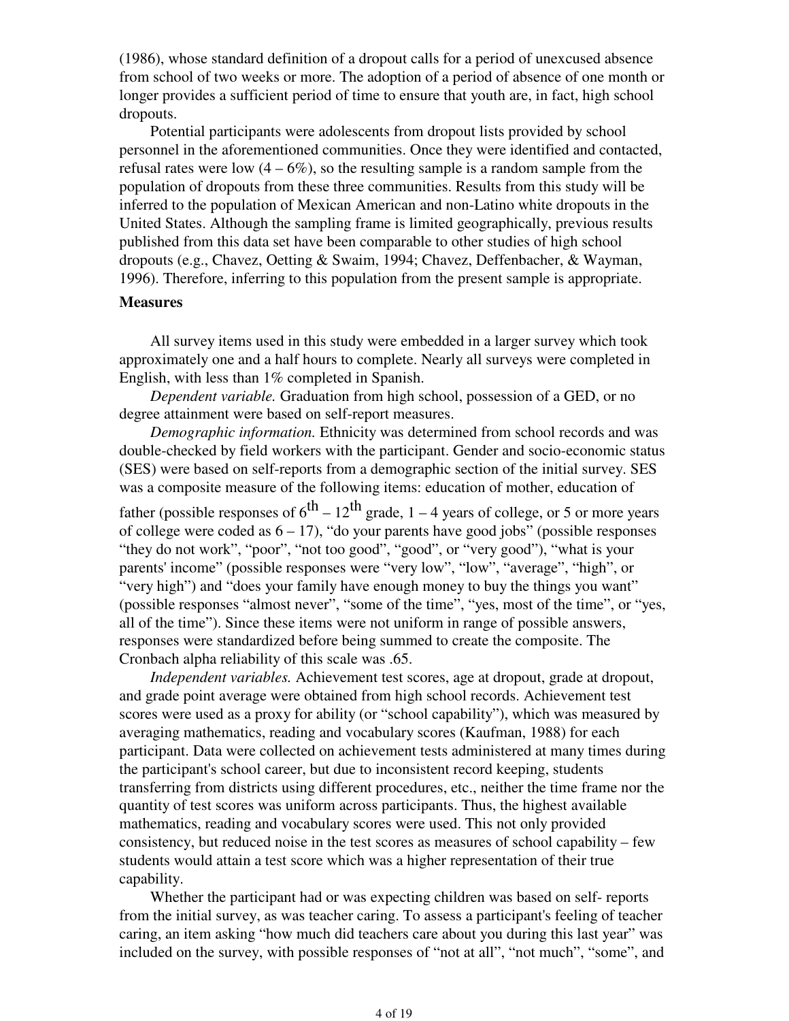(1986), whose standard definition of a dropout calls for a period of unexcused absence from school of two weeks or more. The adoption of a period of absence of one month or longer provides a sufficient period of time to ensure that youth are, in fact, high school dropouts.

 Potential participants were adolescents from dropout lists provided by school personnel in the aforementioned communities. Once they were identified and contacted, refusal rates were low  $(4 - 6\%)$ , so the resulting sample is a random sample from the population of dropouts from these three communities. Results from this study will be inferred to the population of Mexican American and non-Latino white dropouts in the United States. Although the sampling frame is limited geographically, previous results published from this data set have been comparable to other studies of high school dropouts (e.g., Chavez, Oetting & Swaim, 1994; Chavez, Deffenbacher, & Wayman, 1996). Therefore, inferring to this population from the present sample is appropriate.

#### **Measures**

 All survey items used in this study were embedded in a larger survey which took approximately one and a half hours to complete. Nearly all surveys were completed in English, with less than 1% completed in Spanish.

 *Dependent variable.* Graduation from high school, possession of a GED, or no degree attainment were based on self-report measures.

 *Demographic information.* Ethnicity was determined from school records and was double-checked by field workers with the participant. Gender and socio-economic status (SES) were based on self-reports from a demographic section of the initial survey. SES was a composite measure of the following items: education of mother, education of father (possible responses of  $6^{th} - 12^{th}$  grade, 1 – 4 years of college, or 5 or more years of college were coded as  $6 - 17$ ), "do your parents have good jobs" (possible responses "they do not work", "poor", "not too good", "good", or "very good"), "what is your parents' income" (possible responses were "very low", "low", "average", "high", or "very high") and "does your family have enough money to buy the things you want" (possible responses "almost never", "some of the time", "yes, most of the time", or "yes, all of the time"). Since these items were not uniform in range of possible answers, responses were standardized before being summed to create the composite. The

 *Independent variables.* Achievement test scores, age at dropout, grade at dropout, and grade point average were obtained from high school records. Achievement test scores were used as a proxy for ability (or "school capability"), which was measured by averaging mathematics, reading and vocabulary scores (Kaufman, 1988) for each participant. Data were collected on achievement tests administered at many times during the participant's school career, but due to inconsistent record keeping, students transferring from districts using different procedures, etc., neither the time frame nor the quantity of test scores was uniform across participants. Thus, the highest available mathematics, reading and vocabulary scores were used. This not only provided consistency, but reduced noise in the test scores as measures of school capability – few students would attain a test score which was a higher representation of their true capability.

Cronbach alpha reliability of this scale was .65.

 Whether the participant had or was expecting children was based on self- reports from the initial survey, as was teacher caring. To assess a participant's feeling of teacher caring, an item asking "how much did teachers care about you during this last year" was included on the survey, with possible responses of "not at all", "not much", "some", and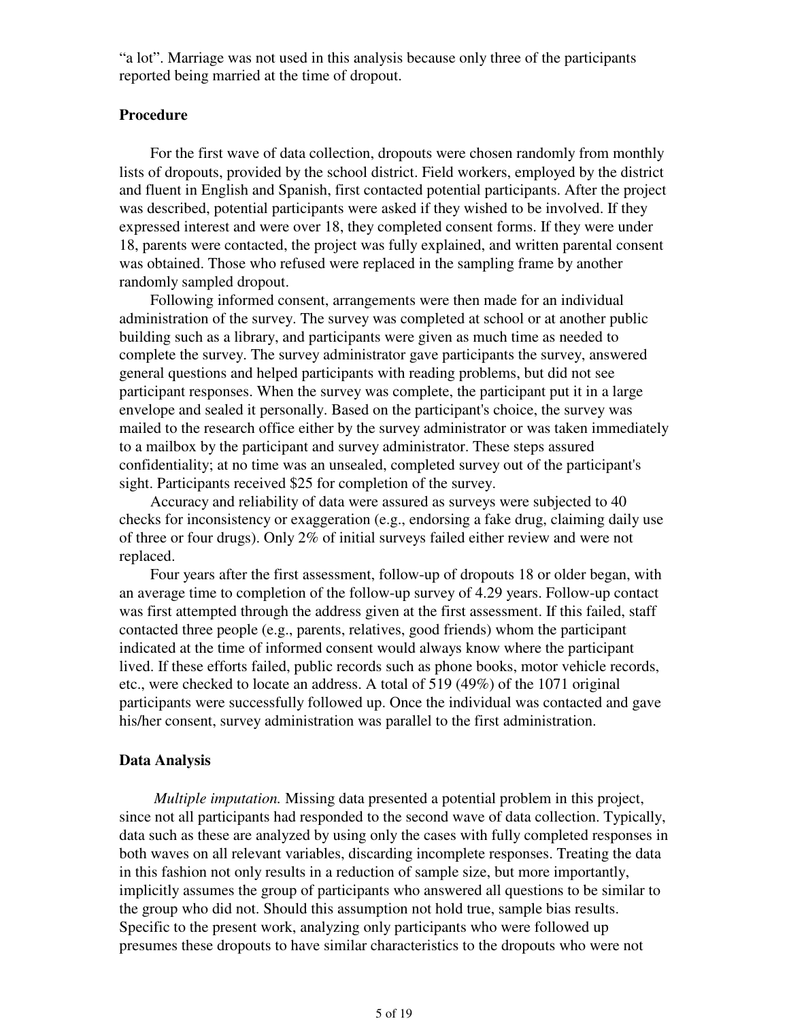"a lot". Marriage was not used in this analysis because only three of the participants reported being married at the time of dropout.

#### **Procedure**

 For the first wave of data collection, dropouts were chosen randomly from monthly lists of dropouts, provided by the school district. Field workers, employed by the district and fluent in English and Spanish, first contacted potential participants. After the project was described, potential participants were asked if they wished to be involved. If they expressed interest and were over 18, they completed consent forms. If they were under 18, parents were contacted, the project was fully explained, and written parental consent was obtained. Those who refused were replaced in the sampling frame by another randomly sampled dropout.

 Following informed consent, arrangements were then made for an individual administration of the survey. The survey was completed at school or at another public building such as a library, and participants were given as much time as needed to complete the survey. The survey administrator gave participants the survey, answered general questions and helped participants with reading problems, but did not see participant responses. When the survey was complete, the participant put it in a large envelope and sealed it personally. Based on the participant's choice, the survey was mailed to the research office either by the survey administrator or was taken immediately to a mailbox by the participant and survey administrator. These steps assured confidentiality; at no time was an unsealed, completed survey out of the participant's sight. Participants received \$25 for completion of the survey.

 Accuracy and reliability of data were assured as surveys were subjected to 40 checks for inconsistency or exaggeration (e.g., endorsing a fake drug, claiming daily use of three or four drugs). Only 2% of initial surveys failed either review and were not replaced.

 Four years after the first assessment, follow-up of dropouts 18 or older began, with an average time to completion of the follow-up survey of 4.29 years. Follow-up contact was first attempted through the address given at the first assessment. If this failed, staff contacted three people (e.g., parents, relatives, good friends) whom the participant indicated at the time of informed consent would always know where the participant lived. If these efforts failed, public records such as phone books, motor vehicle records, etc., were checked to locate an address. A total of 519 (49%) of the 1071 original participants were successfully followed up. Once the individual was contacted and gave his/her consent, survey administration was parallel to the first administration.

#### **Data Analysis**

 *Multiple imputation.* Missing data presented a potential problem in this project, since not all participants had responded to the second wave of data collection. Typically, data such as these are analyzed by using only the cases with fully completed responses in both waves on all relevant variables, discarding incomplete responses. Treating the data in this fashion not only results in a reduction of sample size, but more importantly, implicitly assumes the group of participants who answered all questions to be similar to the group who did not. Should this assumption not hold true, sample bias results. Specific to the present work, analyzing only participants who were followed up presumes these dropouts to have similar characteristics to the dropouts who were not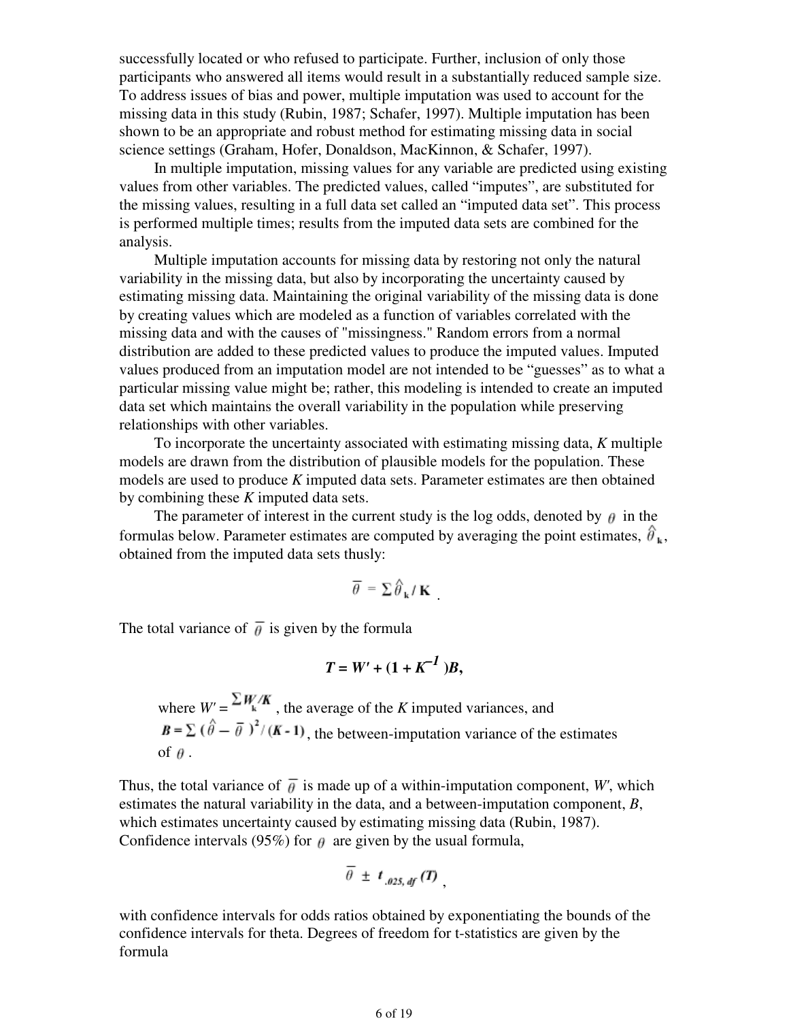successfully located or who refused to participate. Further, inclusion of only those participants who answered all items would result in a substantially reduced sample size. To address issues of bias and power, multiple imputation was used to account for the missing data in this study (Rubin, 1987; Schafer, 1997). Multiple imputation has been shown to be an appropriate and robust method for estimating missing data in social science settings (Graham, Hofer, Donaldson, MacKinnon, & Schafer, 1997).

 In multiple imputation, missing values for any variable are predicted using existing values from other variables. The predicted values, called "imputes", are substituted for the missing values, resulting in a full data set called an "imputed data set". This process is performed multiple times; results from the imputed data sets are combined for the analysis.

 Multiple imputation accounts for missing data by restoring not only the natural variability in the missing data, but also by incorporating the uncertainty caused by estimating missing data. Maintaining the original variability of the missing data is done by creating values which are modeled as a function of variables correlated with the missing data and with the causes of "missingness." Random errors from a normal distribution are added to these predicted values to produce the imputed values. Imputed values produced from an imputation model are not intended to be "guesses" as to what a particular missing value might be; rather, this modeling is intended to create an imputed data set which maintains the overall variability in the population while preserving relationships with other variables.

 To incorporate the uncertainty associated with estimating missing data, *K* multiple models are drawn from the distribution of plausible models for the population. These models are used to produce *K* imputed data sets. Parameter estimates are then obtained by combining these *K* imputed data sets.

The parameter of interest in the current study is the log odds, denoted by  $\theta$  in the formulas below. Parameter estimates are computed by averaging the point estimates,  $\hat{\theta}_{\mu}$ , obtained from the imputed data sets thusly:

$$
\overline{\theta} = \sum \hat{\theta}_{\mathbf{k}} / \mathbf{K}
$$

.

The total variance of  $\overline{\theta}$  is given by the formula

$$
T = W' + (1 + K^{-1})B,
$$

where  $W' = \frac{\sum W_i / K}{\sum W_i}$ , the average of the *K* imputed variances, and  $B = \sum_{n=1}^{\infty} (\hat{\theta} - \bar{\theta})^2 / (K - 1)$ , the between-imputation variance of the estimates of  $\theta$ .

Thus, the total variance of  $\overline{\theta}$  is made up of a within-imputation component, *W'*, which estimates the natural variability in the data, and a between-imputation component, *B*, which estimates uncertainty caused by estimating missing data (Rubin, 1987). Confidence intervals (95%) for  $\theta$  are given by the usual formula,

$$
\overline{\theta} \pm t_{.025, df}(T)
$$

with confidence intervals for odds ratios obtained by exponentiating the bounds of the confidence intervals for theta. Degrees of freedom for t-statistics are given by the formula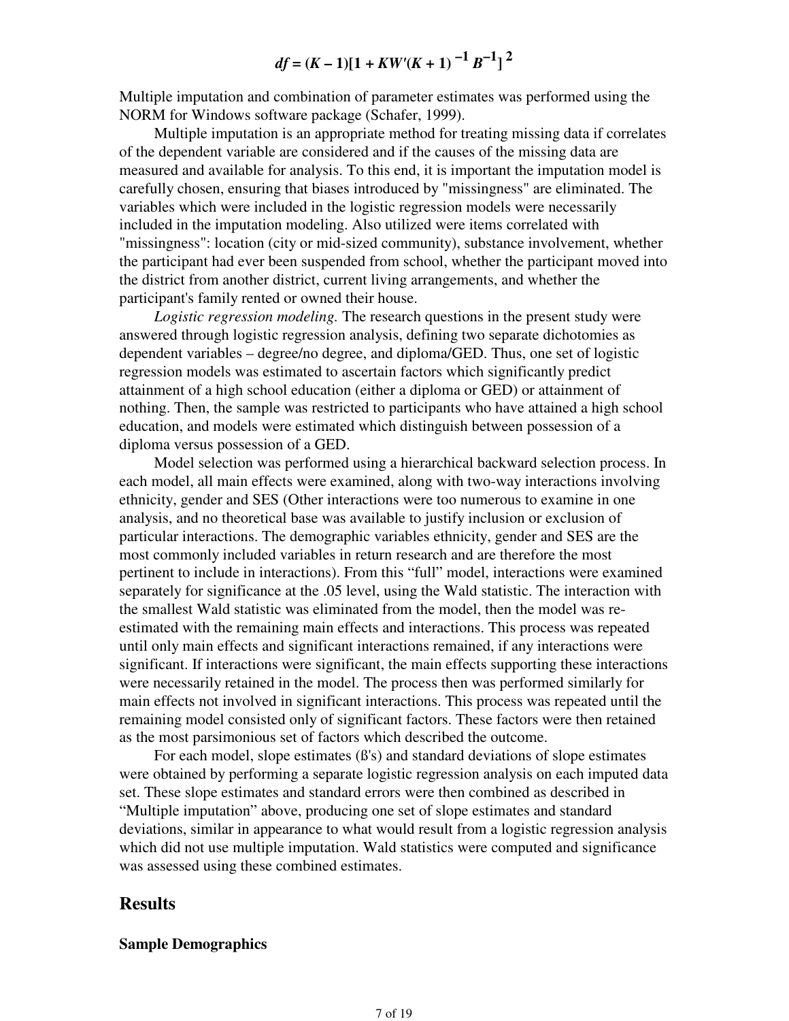$$
df = (K-1)[1 + KW'(K+1)^{-1}B^{-1}]^{2}
$$

Multiple imputation and combination of parameter estimates was performed using the NORM for Windows software package (Schafer, 1999).

 Multiple imputation is an appropriate method for treating missing data if correlates of the dependent variable are considered and if the causes of the missing data are measured and available for analysis. To this end, it is important the imputation model is carefully chosen, ensuring that biases introduced by "missingness" are eliminated. The variables which were included in the logistic regression models were necessarily included in the imputation modeling. Also utilized were items correlated with "missingness": location (city or mid-sized community), substance involvement, whether the participant had ever been suspended from school, whether the participant moved into the district from another district, current living arrangements, and whether the participant's family rented or owned their house.

 *Logistic regression modeling.* The research questions in the present study were answered through logistic regression analysis, defining two separate dichotomies as dependent variables – degree/no degree, and diploma/GED. Thus, one set of logistic regression models was estimated to ascertain factors which significantly predict attainment of a high school education (either a diploma or GED) or attainment of nothing. Then, the sample was restricted to participants who have attained a high school education, and models were estimated which distinguish between possession of a diploma versus possession of a GED.

 Model selection was performed using a hierarchical backward selection process. In each model, all main effects were examined, along with two-way interactions involving ethnicity, gender and SES (Other interactions were too numerous to examine in one analysis, and no theoretical base was available to justify inclusion or exclusion of particular interactions. The demographic variables ethnicity, gender and SES are the most commonly included variables in return research and are therefore the most pertinent to include in interactions). From this "full" model, interactions were examined separately for significance at the .05 level, using the Wald statistic. The interaction with the smallest Wald statistic was eliminated from the model, then the model was reestimated with the remaining main effects and interactions. This process was repeated until only main effects and significant interactions remained, if any interactions were significant. If interactions were significant, the main effects supporting these interactions were necessarily retained in the model. The process then was performed similarly for main effects not involved in significant interactions. This process was repeated until the remaining model consisted only of significant factors. These factors were then retained as the most parsimonious set of factors which described the outcome.

 For each model, slope estimates (ß's) and standard deviations of slope estimates were obtained by performing a separate logistic regression analysis on each imputed data set. These slope estimates and standard errors were then combined as described in "Multiple imputation" above, producing one set of slope estimates and standard deviations, similar in appearance to what would result from a logistic regression analysis which did not use multiple imputation. Wald statistics were computed and significance was assessed using these combined estimates.

# **Results**

#### **Sample Demographics**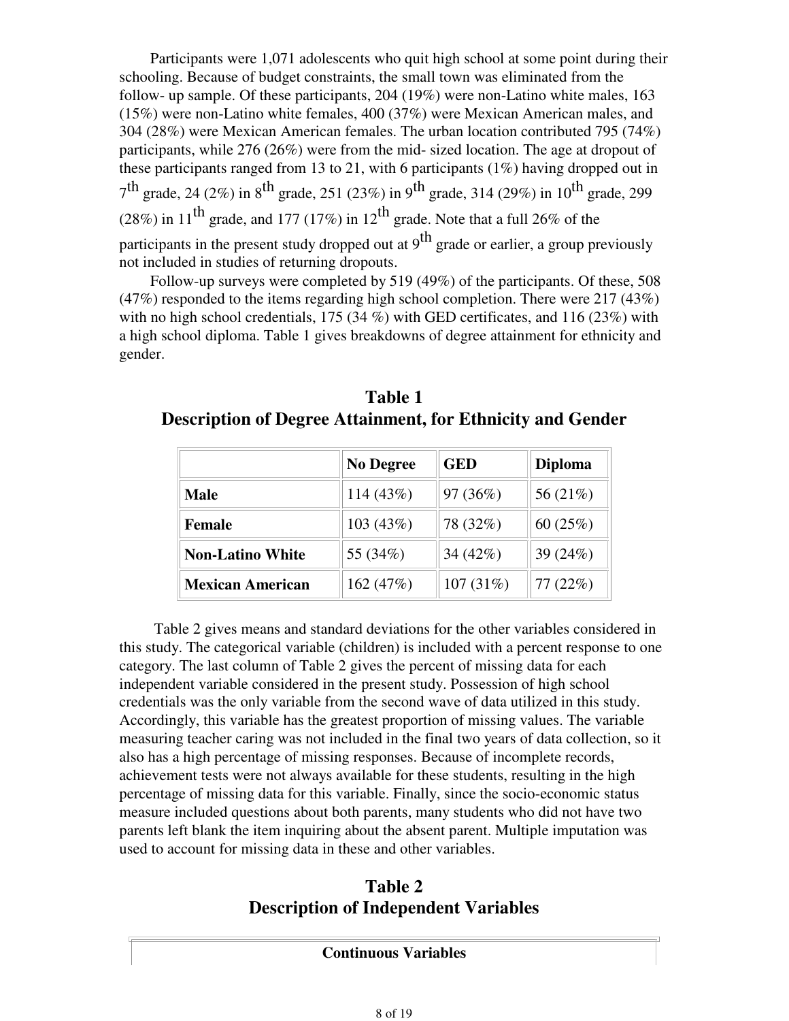Participants were 1,071 adolescents who quit high school at some point during their schooling. Because of budget constraints, the small town was eliminated from the follow- up sample. Of these participants, 204 (19%) were non-Latino white males, 163 (15%) were non-Latino white females, 400 (37%) were Mexican American males, and 304 (28%) were Mexican American females. The urban location contributed 795 (74%) participants, while 276 (26%) were from the mid- sized location. The age at dropout of these participants ranged from 13 to 21, with 6 participants (1%) having dropped out in  $7<sup>th</sup>$  grade, 24 (2%) in 8<sup>th</sup> grade, 251 (23%) in 9<sup>th</sup> grade, 314 (29%) in 10<sup>th</sup> grade, 299 (28%) in 11<sup>th</sup> grade, and 177 (17%) in 12<sup>th</sup> grade. Note that a full 26% of the participants in the present study dropped out at  $9^{th}$  grade or earlier, a group previously not included in studies of returning dropouts.

 Follow-up surveys were completed by 519 (49%) of the participants. Of these, 508  $(47\%)$  responded to the items regarding high school completion. There were 217 (43%) with no high school credentials, 175 (34 %) with GED certificates, and 116 (23%) with a high school diploma. Table 1 gives breakdowns of degree attainment for ethnicity and gender.

|                         | <b>No Degree</b> | <b>GED</b>  | <b>Diploma</b> |  |  |
|-------------------------|------------------|-------------|----------------|--|--|
| <b>Male</b>             | 114 (43%)        | 97 (36%)    | 56 (21%)       |  |  |
| <b>Female</b>           | 103(43%)         | 78 (32%)    | 60(25%)        |  |  |
| <b>Non-Latino White</b> | 55 (34%)         | 34 $(42\%)$ | 39 (24%)       |  |  |
| <b>Mexican American</b> | 162(47%)         | 107(31%)    | 77(22%)        |  |  |

| Table 1                                                           |  |
|-------------------------------------------------------------------|--|
| <b>Description of Degree Attainment, for Ethnicity and Gender</b> |  |

 Table 2 gives means and standard deviations for the other variables considered in this study. The categorical variable (children) is included with a percent response to one category. The last column of Table 2 gives the percent of missing data for each independent variable considered in the present study. Possession of high school credentials was the only variable from the second wave of data utilized in this study. Accordingly, this variable has the greatest proportion of missing values. The variable measuring teacher caring was not included in the final two years of data collection, so it also has a high percentage of missing responses. Because of incomplete records, achievement tests were not always available for these students, resulting in the high percentage of missing data for this variable. Finally, since the socio-economic status measure included questions about both parents, many students who did not have two parents left blank the item inquiring about the absent parent. Multiple imputation was used to account for missing data in these and other variables.

# **Table 2 Description of Independent Variables**

**Continuous Variables**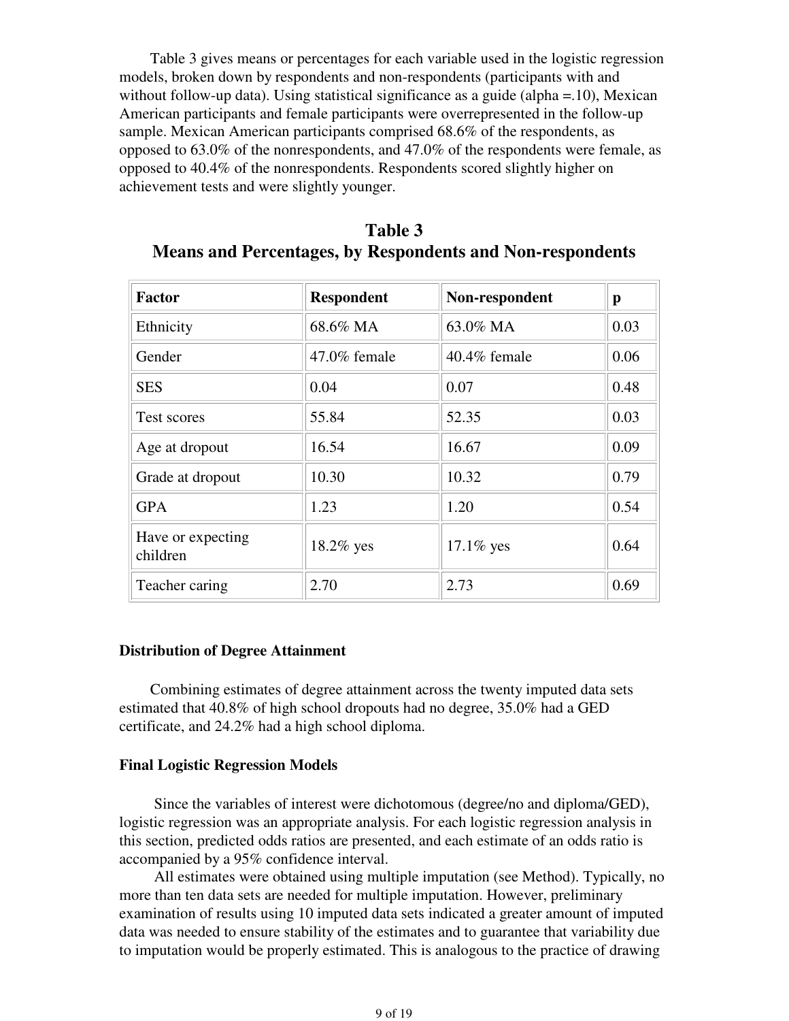Table 3 gives means or percentages for each variable used in the logistic regression models, broken down by respondents and non-respondents (participants with and without follow-up data). Using statistical significance as a guide (alpha = 10), Mexican American participants and female participants were overrepresented in the follow-up sample. Mexican American participants comprised 68.6% of the respondents, as opposed to 63.0% of the nonrespondents, and 47.0% of the respondents were female, as opposed to 40.4% of the nonrespondents. Respondents scored slightly higher on achievement tests and were slightly younger.

| <b>Factor</b>                 | <b>Respondent</b> | Non-respondent  | p    |
|-------------------------------|-------------------|-----------------|------|
| Ethnicity                     | 68.6% MA          | 63.0% MA        | 0.03 |
| Gender                        | $47.0\%$ female   | $40.4\%$ female | 0.06 |
| <b>SES</b>                    | 0.04              | 0.07            | 0.48 |
| Test scores                   | 55.84             | 52.35           | 0.03 |
| Age at dropout                | 16.54             | 16.67           | 0.09 |
| Grade at dropout              | 10.30             | 10.32           | 0.79 |
| <b>GPA</b>                    | 1.23              | 1.20            | 0.54 |
| Have or expecting<br>children | $18.2\%$ yes      | $17.1\%$ yes    | 0.64 |
| Teacher caring                | 2.70              | 2.73            | 0.69 |

| Table 3                                                   |
|-----------------------------------------------------------|
| Means and Percentages, by Respondents and Non-respondents |

### **Distribution of Degree Attainment**

 Combining estimates of degree attainment across the twenty imputed data sets estimated that 40.8% of high school dropouts had no degree, 35.0% had a GED certificate, and 24.2% had a high school diploma.

## **Final Logistic Regression Models**

 Since the variables of interest were dichotomous (degree/no and diploma/GED), logistic regression was an appropriate analysis. For each logistic regression analysis in this section, predicted odds ratios are presented, and each estimate of an odds ratio is accompanied by a 95% confidence interval.

 All estimates were obtained using multiple imputation (see Method). Typically, no more than ten data sets are needed for multiple imputation. However, preliminary examination of results using 10 imputed data sets indicated a greater amount of imputed data was needed to ensure stability of the estimates and to guarantee that variability due to imputation would be properly estimated. This is analogous to the practice of drawing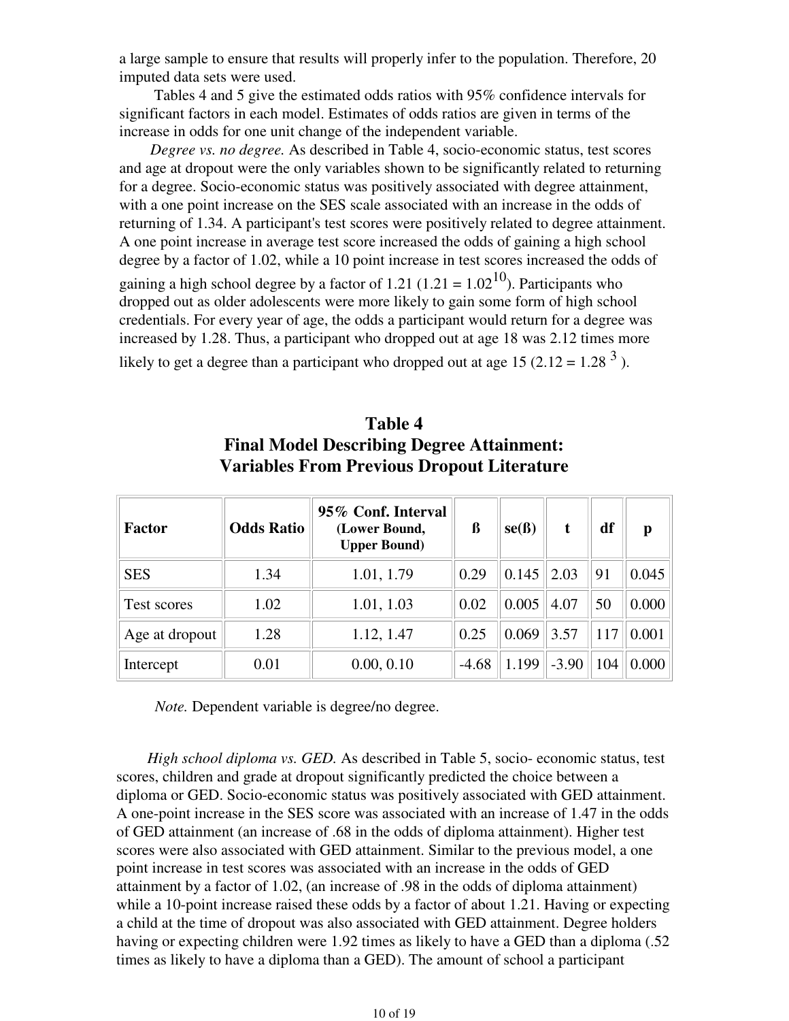a large sample to ensure that results will properly infer to the population. Therefore, 20 imputed data sets were used.

 Tables 4 and 5 give the estimated odds ratios with 95% confidence intervals for significant factors in each model. Estimates of odds ratios are given in terms of the increase in odds for one unit change of the independent variable.

 *Degree vs. no degree.* As described in Table 4, socio-economic status, test scores and age at dropout were the only variables shown to be significantly related to returning for a degree. Socio-economic status was positively associated with degree attainment, with a one point increase on the SES scale associated with an increase in the odds of returning of 1.34. A participant's test scores were positively related to degree attainment. A one point increase in average test score increased the odds of gaining a high school degree by a factor of 1.02, while a 10 point increase in test scores increased the odds of

gaining a high school degree by a factor of 1.21 (1.21 =  $1.02^{10}$ ). Participants who dropped out as older adolescents were more likely to gain some form of high school credentials. For every year of age, the odds a participant would return for a degree was increased by 1.28. Thus, a participant who dropped out at age 18 was 2.12 times more

likely to get a degree than a participant who dropped out at age 15 (2.12 = 1.28<sup>3</sup>).

# **Table 4 Final Model Describing Degree Attainment: Variables From Previous Dropout Literature**

| Factor         | <b>Odds Ratio</b> | 95% Conf. Interval<br>(Lower Bound,<br><b>Upper Bound</b> ) | ß       | se(B) | t       | df  | p     |
|----------------|-------------------|-------------------------------------------------------------|---------|-------|---------|-----|-------|
| <b>SES</b>     | 1.34              | 1.01, 1.79                                                  | 0.29    | 0.145 | 2.03    | 91  | 0.045 |
| Test scores    | 1.02              | 1.01, 1.03                                                  | 0.02    | 0.005 | 4.07    | 50  | 0.000 |
| Age at dropout | 1.28              | 1.12, 1.47                                                  | 0.25    | 0.069 | 3.57    | 117 | 0.001 |
| Intercept      | 0.01              | 0.00, 0.10                                                  | $-4.68$ | 1.199 | $-3.90$ | 104 | 0.000 |

*Note.* Dependent variable is degree/no degree.

 *High school diploma vs. GED.* As described in Table 5, socio- economic status, test scores, children and grade at dropout significantly predicted the choice between a diploma or GED. Socio-economic status was positively associated with GED attainment. A one-point increase in the SES score was associated with an increase of 1.47 in the odds of GED attainment (an increase of .68 in the odds of diploma attainment). Higher test scores were also associated with GED attainment. Similar to the previous model, a one point increase in test scores was associated with an increase in the odds of GED attainment by a factor of 1.02, (an increase of .98 in the odds of diploma attainment) while a 10-point increase raised these odds by a factor of about 1.21. Having or expecting a child at the time of dropout was also associated with GED attainment. Degree holders having or expecting children were 1.92 times as likely to have a GED than a diploma (.52) times as likely to have a diploma than a GED). The amount of school a participant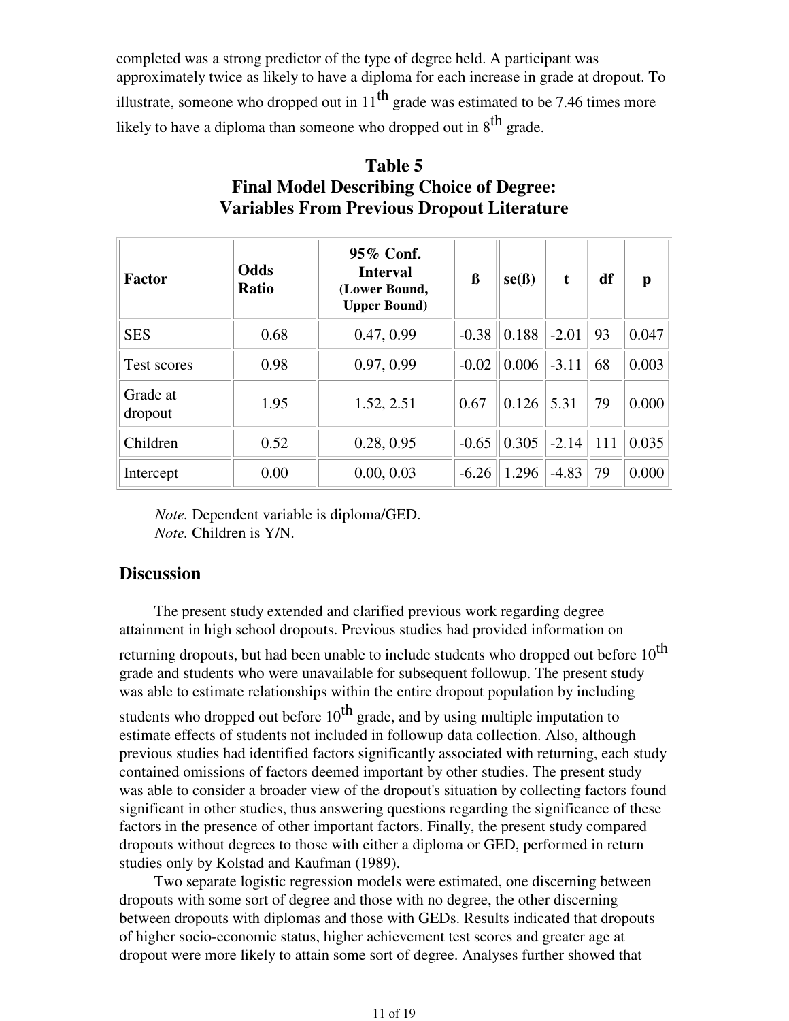completed was a strong predictor of the type of degree held. A participant was approximately twice as likely to have a diploma for each increase in grade at dropout. To illustrate, someone who dropped out in  $11^{th}$  grade was estimated to be 7.46 times more likely to have a diploma than someone who dropped out in  $8<sup>th</sup>$  grade.

| <b>Factor</b>       | <b>Odds</b><br><b>Ratio</b> | 95% Conf.<br><b>Interval</b><br>(Lower Bound,<br><b>Upper Bound)</b> | ß       | se(B) | t       | df  | $\mathbf{p}$ |
|---------------------|-----------------------------|----------------------------------------------------------------------|---------|-------|---------|-----|--------------|
| <b>SES</b>          | 0.68                        | 0.47, 0.99                                                           | $-0.38$ | 0.188 | $-2.01$ | 93  | 0.047        |
| Test scores         | 0.98                        | 0.97, 0.99                                                           | $-0.02$ | 0.006 | $-3.11$ | 68  | 0.003        |
| Grade at<br>dropout | 1.95                        | 1.52, 2.51                                                           | 0.67    | 0.126 | 5.31    | 79  | 0.000        |
| Children            | 0.52                        | 0.28, 0.95                                                           | $-0.65$ | 0.305 | $-2.14$ | 111 | 0.035        |
| Intercept           | 0.00                        | 0.00, 0.03                                                           | $-6.26$ | 1.296 | $-4.83$ | 79  | 0.000        |

# **Table 5 Final Model Describing Choice of Degree: Variables From Previous Dropout Literature**

*Note.* Dependent variable is diploma/GED. *Note.* Children is Y/N.

# **Discussion**

 The present study extended and clarified previous work regarding degree attainment in high school dropouts. Previous studies had provided information on

returning dropouts, but had been unable to include students who dropped out before  $10^{th}$ grade and students who were unavailable for subsequent followup. The present study was able to estimate relationships within the entire dropout population by including

students who dropped out before  $10^{th}$  grade, and by using multiple imputation to estimate effects of students not included in followup data collection. Also, although previous studies had identified factors significantly associated with returning, each study contained omissions of factors deemed important by other studies. The present study was able to consider a broader view of the dropout's situation by collecting factors found significant in other studies, thus answering questions regarding the significance of these factors in the presence of other important factors. Finally, the present study compared dropouts without degrees to those with either a diploma or GED, performed in return studies only by Kolstad and Kaufman (1989).

 Two separate logistic regression models were estimated, one discerning between dropouts with some sort of degree and those with no degree, the other discerning between dropouts with diplomas and those with GEDs. Results indicated that dropouts of higher socio-economic status, higher achievement test scores and greater age at dropout were more likely to attain some sort of degree. Analyses further showed that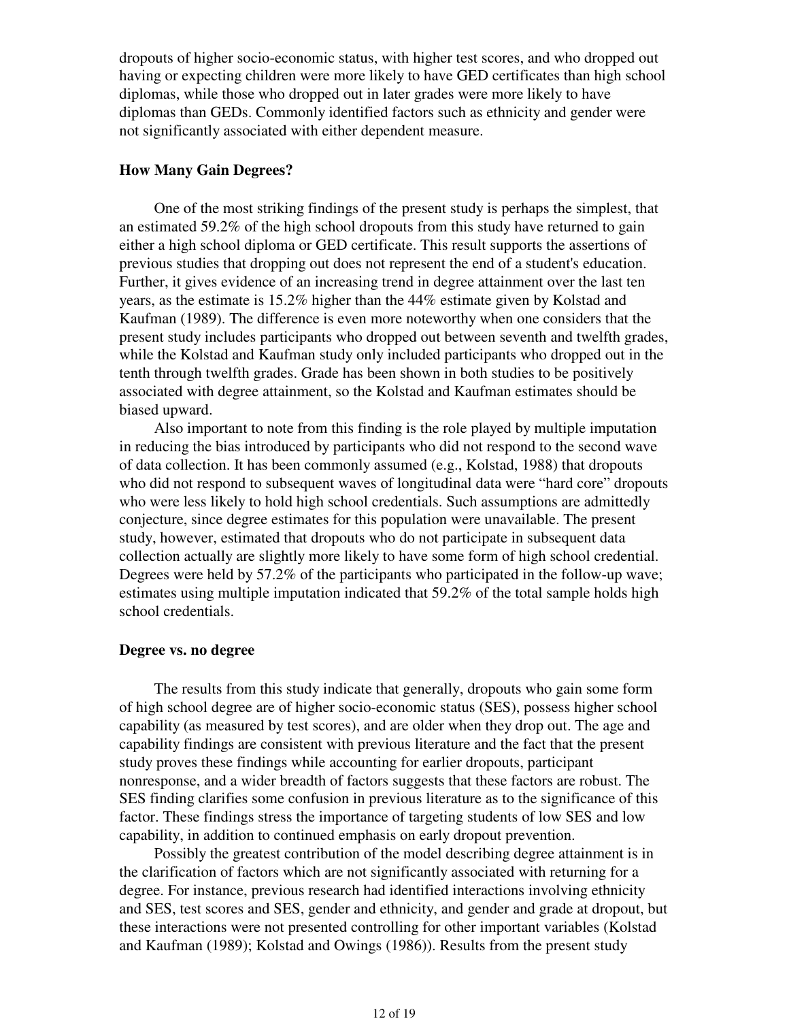dropouts of higher socio-economic status, with higher test scores, and who dropped out having or expecting children were more likely to have GED certificates than high school diplomas, while those who dropped out in later grades were more likely to have diplomas than GEDs. Commonly identified factors such as ethnicity and gender were not significantly associated with either dependent measure.

## **How Many Gain Degrees?**

 One of the most striking findings of the present study is perhaps the simplest, that an estimated 59.2% of the high school dropouts from this study have returned to gain either a high school diploma or GED certificate. This result supports the assertions of previous studies that dropping out does not represent the end of a student's education. Further, it gives evidence of an increasing trend in degree attainment over the last ten years, as the estimate is 15.2% higher than the 44% estimate given by Kolstad and Kaufman (1989). The difference is even more noteworthy when one considers that the present study includes participants who dropped out between seventh and twelfth grades, while the Kolstad and Kaufman study only included participants who dropped out in the tenth through twelfth grades. Grade has been shown in both studies to be positively associated with degree attainment, so the Kolstad and Kaufman estimates should be biased upward.

 Also important to note from this finding is the role played by multiple imputation in reducing the bias introduced by participants who did not respond to the second wave of data collection. It has been commonly assumed (e.g., Kolstad, 1988) that dropouts who did not respond to subsequent waves of longitudinal data were "hard core" dropouts who were less likely to hold high school credentials. Such assumptions are admittedly conjecture, since degree estimates for this population were unavailable. The present study, however, estimated that dropouts who do not participate in subsequent data collection actually are slightly more likely to have some form of high school credential. Degrees were held by 57.2% of the participants who participated in the follow-up wave; estimates using multiple imputation indicated that 59.2% of the total sample holds high school credentials.

#### **Degree vs. no degree**

 The results from this study indicate that generally, dropouts who gain some form of high school degree are of higher socio-economic status (SES), possess higher school capability (as measured by test scores), and are older when they drop out. The age and capability findings are consistent with previous literature and the fact that the present study proves these findings while accounting for earlier dropouts, participant nonresponse, and a wider breadth of factors suggests that these factors are robust. The SES finding clarifies some confusion in previous literature as to the significance of this factor. These findings stress the importance of targeting students of low SES and low capability, in addition to continued emphasis on early dropout prevention.

 Possibly the greatest contribution of the model describing degree attainment is in the clarification of factors which are not significantly associated with returning for a degree. For instance, previous research had identified interactions involving ethnicity and SES, test scores and SES, gender and ethnicity, and gender and grade at dropout, but these interactions were not presented controlling for other important variables (Kolstad and Kaufman (1989); Kolstad and Owings (1986)). Results from the present study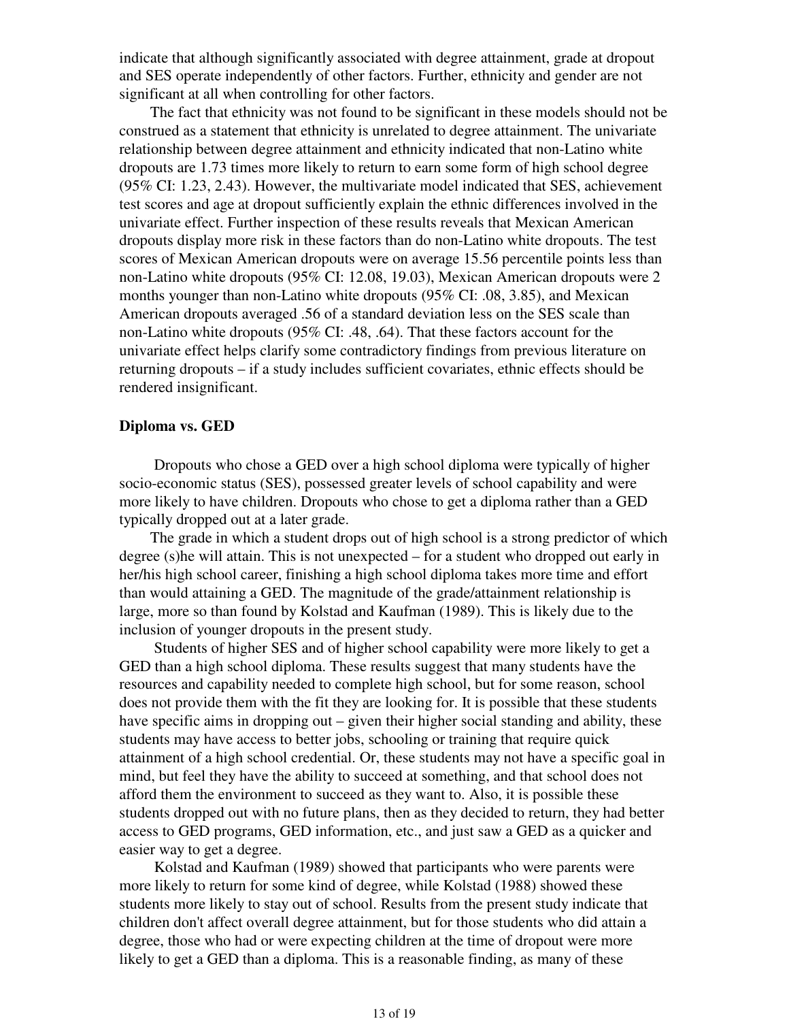indicate that although significantly associated with degree attainment, grade at dropout and SES operate independently of other factors. Further, ethnicity and gender are not significant at all when controlling for other factors.

 The fact that ethnicity was not found to be significant in these models should not be construed as a statement that ethnicity is unrelated to degree attainment. The univariate relationship between degree attainment and ethnicity indicated that non-Latino white dropouts are 1.73 times more likely to return to earn some form of high school degree (95% CI: 1.23, 2.43). However, the multivariate model indicated that SES, achievement test scores and age at dropout sufficiently explain the ethnic differences involved in the univariate effect. Further inspection of these results reveals that Mexican American dropouts display more risk in these factors than do non-Latino white dropouts. The test scores of Mexican American dropouts were on average 15.56 percentile points less than non-Latino white dropouts (95% CI: 12.08, 19.03), Mexican American dropouts were 2 months younger than non-Latino white dropouts (95% CI: .08, 3.85), and Mexican American dropouts averaged .56 of a standard deviation less on the SES scale than non-Latino white dropouts (95% CI: .48, .64). That these factors account for the univariate effect helps clarify some contradictory findings from previous literature on returning dropouts – if a study includes sufficient covariates, ethnic effects should be rendered insignificant.

## **Diploma vs. GED**

 Dropouts who chose a GED over a high school diploma were typically of higher socio-economic status (SES), possessed greater levels of school capability and were more likely to have children. Dropouts who chose to get a diploma rather than a GED typically dropped out at a later grade.

 The grade in which a student drops out of high school is a strong predictor of which degree (s)he will attain. This is not unexpected – for a student who dropped out early in her/his high school career, finishing a high school diploma takes more time and effort than would attaining a GED. The magnitude of the grade/attainment relationship is large, more so than found by Kolstad and Kaufman (1989). This is likely due to the inclusion of younger dropouts in the present study.

 Students of higher SES and of higher school capability were more likely to get a GED than a high school diploma. These results suggest that many students have the resources and capability needed to complete high school, but for some reason, school does not provide them with the fit they are looking for. It is possible that these students have specific aims in dropping out – given their higher social standing and ability, these students may have access to better jobs, schooling or training that require quick attainment of a high school credential. Or, these students may not have a specific goal in mind, but feel they have the ability to succeed at something, and that school does not afford them the environment to succeed as they want to. Also, it is possible these students dropped out with no future plans, then as they decided to return, they had better access to GED programs, GED information, etc., and just saw a GED as a quicker and easier way to get a degree.

 Kolstad and Kaufman (1989) showed that participants who were parents were more likely to return for some kind of degree, while Kolstad (1988) showed these students more likely to stay out of school. Results from the present study indicate that children don't affect overall degree attainment, but for those students who did attain a degree, those who had or were expecting children at the time of dropout were more likely to get a GED than a diploma. This is a reasonable finding, as many of these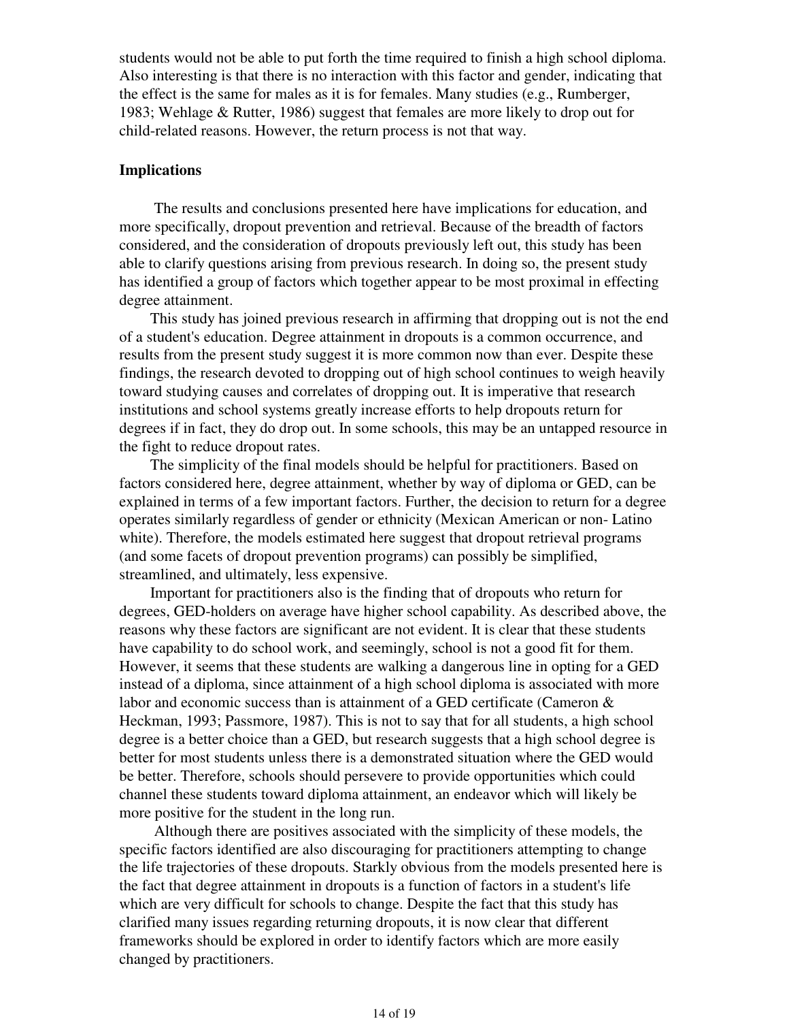students would not be able to put forth the time required to finish a high school diploma. Also interesting is that there is no interaction with this factor and gender, indicating that the effect is the same for males as it is for females. Many studies (e.g., Rumberger, 1983; Wehlage & Rutter, 1986) suggest that females are more likely to drop out for child-related reasons. However, the return process is not that way.

## **Implications**

 The results and conclusions presented here have implications for education, and more specifically, dropout prevention and retrieval. Because of the breadth of factors considered, and the consideration of dropouts previously left out, this study has been able to clarify questions arising from previous research. In doing so, the present study has identified a group of factors which together appear to be most proximal in effecting degree attainment.

 This study has joined previous research in affirming that dropping out is not the end of a student's education. Degree attainment in dropouts is a common occurrence, and results from the present study suggest it is more common now than ever. Despite these findings, the research devoted to dropping out of high school continues to weigh heavily toward studying causes and correlates of dropping out. It is imperative that research institutions and school systems greatly increase efforts to help dropouts return for degrees if in fact, they do drop out. In some schools, this may be an untapped resource in the fight to reduce dropout rates.

 The simplicity of the final models should be helpful for practitioners. Based on factors considered here, degree attainment, whether by way of diploma or GED, can be explained in terms of a few important factors. Further, the decision to return for a degree operates similarly regardless of gender or ethnicity (Mexican American or non- Latino white). Therefore, the models estimated here suggest that dropout retrieval programs (and some facets of dropout prevention programs) can possibly be simplified, streamlined, and ultimately, less expensive.

 Important for practitioners also is the finding that of dropouts who return for degrees, GED-holders on average have higher school capability. As described above, the reasons why these factors are significant are not evident. It is clear that these students have capability to do school work, and seemingly, school is not a good fit for them. However, it seems that these students are walking a dangerous line in opting for a GED instead of a diploma, since attainment of a high school diploma is associated with more labor and economic success than is attainment of a GED certificate (Cameron & Heckman, 1993; Passmore, 1987). This is not to say that for all students, a high school degree is a better choice than a GED, but research suggests that a high school degree is better for most students unless there is a demonstrated situation where the GED would be better. Therefore, schools should persevere to provide opportunities which could channel these students toward diploma attainment, an endeavor which will likely be more positive for the student in the long run.

 Although there are positives associated with the simplicity of these models, the specific factors identified are also discouraging for practitioners attempting to change the life trajectories of these dropouts. Starkly obvious from the models presented here is the fact that degree attainment in dropouts is a function of factors in a student's life which are very difficult for schools to change. Despite the fact that this study has clarified many issues regarding returning dropouts, it is now clear that different frameworks should be explored in order to identify factors which are more easily changed by practitioners.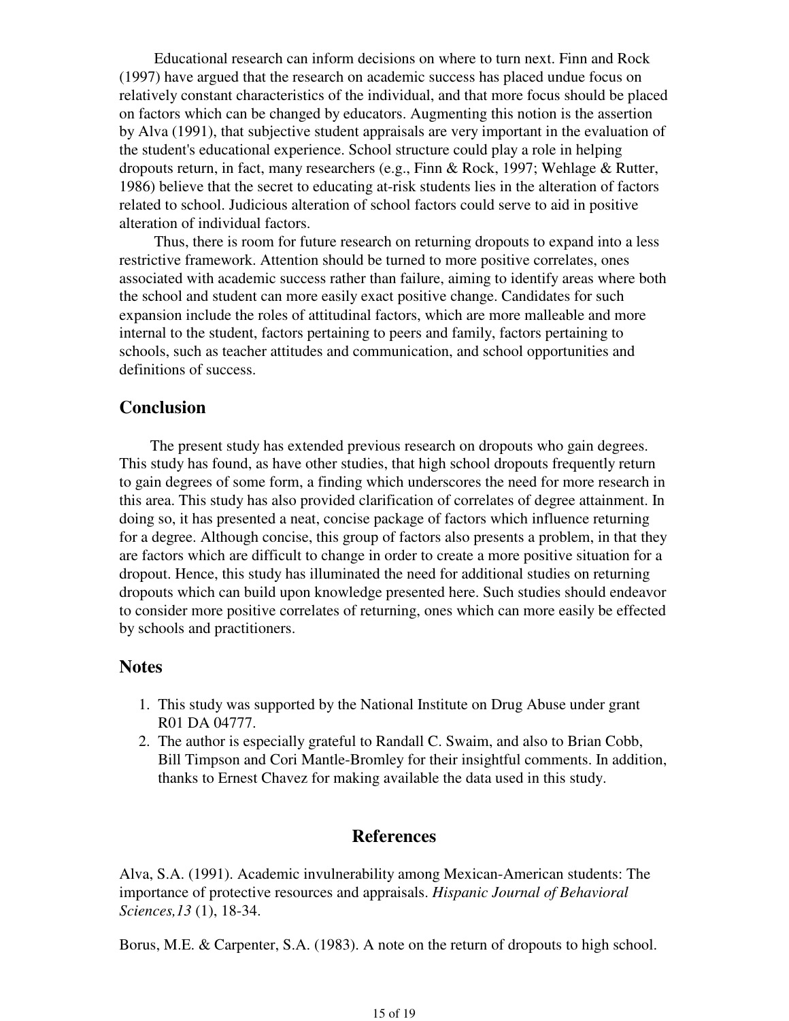Educational research can inform decisions on where to turn next. Finn and Rock (1997) have argued that the research on academic success has placed undue focus on relatively constant characteristics of the individual, and that more focus should be placed on factors which can be changed by educators. Augmenting this notion is the assertion by Alva (1991), that subjective student appraisals are very important in the evaluation of the student's educational experience. School structure could play a role in helping dropouts return, in fact, many researchers (e.g., Finn & Rock, 1997; Wehlage & Rutter, 1986) believe that the secret to educating at-risk students lies in the alteration of factors related to school. Judicious alteration of school factors could serve to aid in positive alteration of individual factors.

 Thus, there is room for future research on returning dropouts to expand into a less restrictive framework. Attention should be turned to more positive correlates, ones associated with academic success rather than failure, aiming to identify areas where both the school and student can more easily exact positive change. Candidates for such expansion include the roles of attitudinal factors, which are more malleable and more internal to the student, factors pertaining to peers and family, factors pertaining to schools, such as teacher attitudes and communication, and school opportunities and definitions of success.

## **Conclusion**

 The present study has extended previous research on dropouts who gain degrees. This study has found, as have other studies, that high school dropouts frequently return to gain degrees of some form, a finding which underscores the need for more research in this area. This study has also provided clarification of correlates of degree attainment. In doing so, it has presented a neat, concise package of factors which influence returning for a degree. Although concise, this group of factors also presents a problem, in that they are factors which are difficult to change in order to create a more positive situation for a dropout. Hence, this study has illuminated the need for additional studies on returning dropouts which can build upon knowledge presented here. Such studies should endeavor to consider more positive correlates of returning, ones which can more easily be effected by schools and practitioners.

## **Notes**

- 1. This study was supported by the National Institute on Drug Abuse under grant R01 DA 04777.
- The author is especially grateful to Randall C. Swaim, and also to Brian Cobb, 2. Bill Timpson and Cori Mantle-Bromley for their insightful comments. In addition, thanks to Ernest Chavez for making available the data used in this study.

## **References**

Alva, S.A. (1991). Academic invulnerability among Mexican-American students: The importance of protective resources and appraisals. *Hispanic Journal of Behavioral Sciences,13* (1), 18-34.

Borus, M.E. & Carpenter, S.A. (1983). A note on the return of dropouts to high school.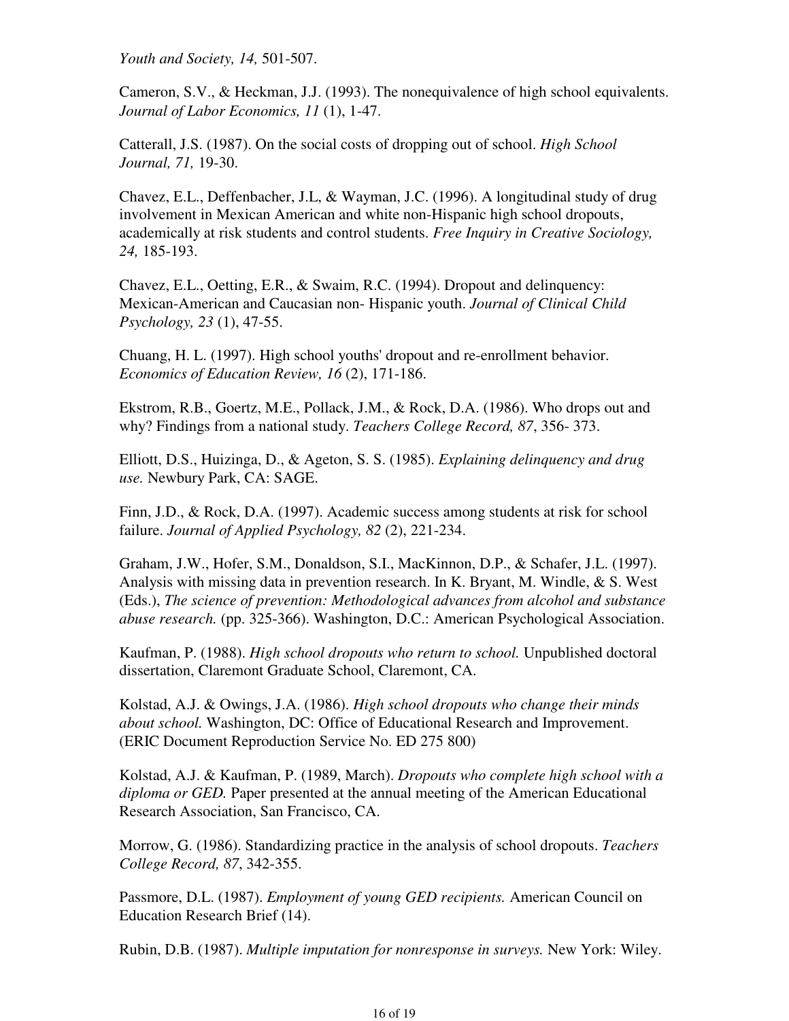*Youth and Society, 14,* 501-507.

Cameron, S.V., & Heckman, J.J. (1993). The nonequivalence of high school equivalents. *Journal of Labor Economics, 11* (1), 1-47.

Catterall, J.S. (1987). On the social costs of dropping out of school. *High School Journal, 71,* 19-30.

Chavez, E.L., Deffenbacher, J.L, & Wayman, J.C. (1996). A longitudinal study of drug involvement in Mexican American and white non-Hispanic high school dropouts, academically at risk students and control students. *Free Inquiry in Creative Sociology, 24,* 185-193.

Chavez, E.L., Oetting, E.R., & Swaim, R.C. (1994). Dropout and delinquency: Mexican-American and Caucasian non- Hispanic youth. *Journal of Clinical Child Psychology, 23* (1), 47-55.

Chuang, H. L. (1997). High school youths' dropout and re-enrollment behavior. *Economics of Education Review, 16* (2), 171-186.

Ekstrom, R.B., Goertz, M.E., Pollack, J.M., & Rock, D.A. (1986). Who drops out and why? Findings from a national study. *Teachers College Record, 87*, 356- 373.

Elliott, D.S., Huizinga, D., & Ageton, S. S. (1985). *Explaining delinquency and drug use.* Newbury Park, CA: SAGE.

Finn, J.D., & Rock, D.A. (1997). Academic success among students at risk for school failure. *Journal of Applied Psychology, 82* (2), 221-234.

Graham, J.W., Hofer, S.M., Donaldson, S.I., MacKinnon, D.P., & Schafer, J.L. (1997). Analysis with missing data in prevention research. In K. Bryant, M. Windle, & S. West (Eds.), *The science of prevention: Methodological advances from alcohol and substance abuse research.* (pp. 325-366). Washington, D.C.: American Psychological Association.

Kaufman, P. (1988). *High school dropouts who return to school.* Unpublished doctoral dissertation, Claremont Graduate School, Claremont, CA.

Kolstad, A.J. & Owings, J.A. (1986). *High school dropouts who change their minds about school.* Washington, DC: Office of Educational Research and Improvement. (ERIC Document Reproduction Service No. ED 275 800)

Kolstad, A.J. & Kaufman, P. (1989, March). *Dropouts who complete high school with a diploma or GED.* Paper presented at the annual meeting of the American Educational Research Association, San Francisco, CA.

Morrow, G. (1986). Standardizing practice in the analysis of school dropouts. *Teachers College Record, 87*, 342-355.

Passmore, D.L. (1987). *Employment of young GED recipients.* American Council on Education Research Brief (14).

Rubin, D.B. (1987). *Multiple imputation for nonresponse in surveys.* New York: Wiley.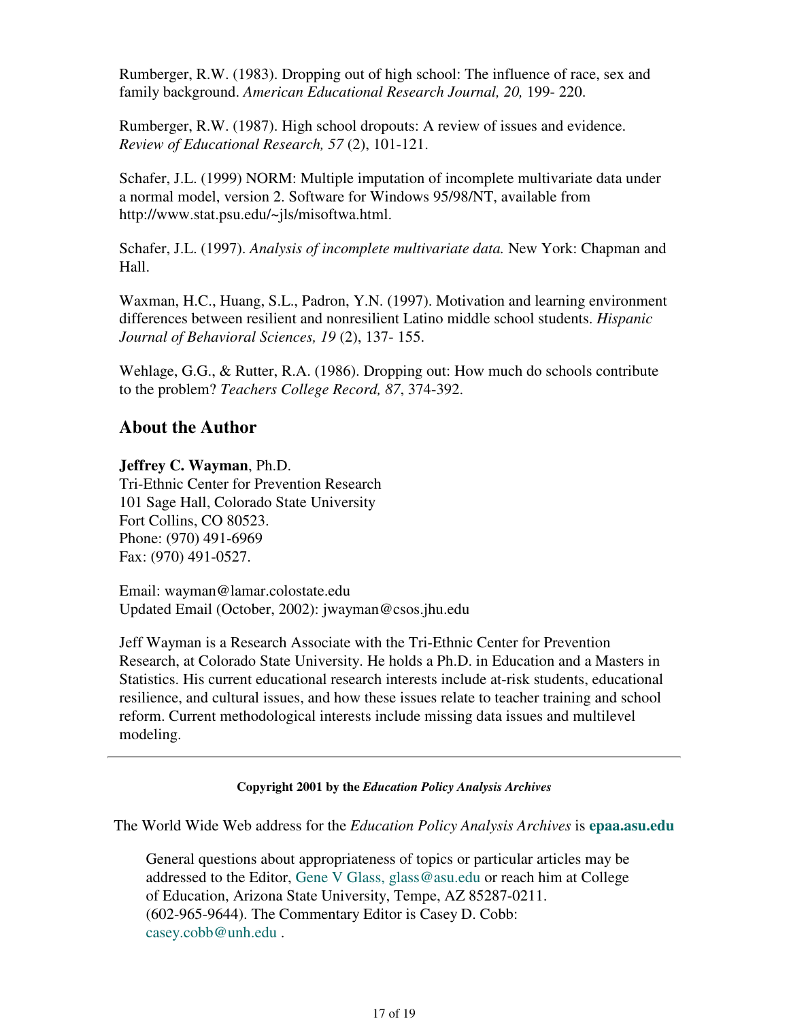Rumberger, R.W. (1983). Dropping out of high school: The influence of race, sex and family background. *American Educational Research Journal, 20,* 199- 220.

Rumberger, R.W. (1987). High school dropouts: A review of issues and evidence. *Review of Educational Research, 57* (2), 101-121.

Schafer, J.L. (1999) NORM: Multiple imputation of incomplete multivariate data under a normal model, version 2. Software for Windows 95/98/NT, available from http://www.stat.psu.edu/~jls/misoftwa.html.

Schafer, J.L. (1997). *Analysis of incomplete multivariate data.* New York: Chapman and Hall.

Waxman, H.C., Huang, S.L., Padron, Y.N. (1997). Motivation and learning environment differences between resilient and nonresilient Latino middle school students. *Hispanic Journal of Behavioral Sciences, 19* (2), 137- 155.

Wehlage, G.G., & Rutter, R.A. (1986). Dropping out: How much do schools contribute to the problem? *Teachers College Record, 87*, 374-392.

# **About the Author**

## **Jeffrey C. Wayman**, Ph.D.

Tri-Ethnic Center for Prevention Research 101 Sage Hall, Colorado State University Fort Collins, CO 80523. Phone: (970) 491-6969 Fax: (970) 491-0527.

Email: wayman@lamar.colostate.edu Updated Email (October, 2002): jwayman@csos.jhu.edu

Jeff Wayman is a Research Associate with the Tri-Ethnic Center for Prevention Research, at Colorado State University. He holds a Ph.D. in Education and a Masters in Statistics. His current educational research interests include at-risk students, educational resilience, and cultural issues, and how these issues relate to teacher training and school reform. Current methodological interests include missing data issues and multilevel modeling.

### **Copyright 2001 by the** *Education Policy Analysis Archives*

The World Wide Web address for the *Education Policy Analysis Archives* is **epaa.asu.edu**

General questions about appropriateness of topics or particular articles may be addressed to the Editor, Gene V Glass, glass@asu.edu or reach him at College of Education, Arizona State University, Tempe, AZ 85287-0211. (602-965-9644). The Commentary Editor is Casey D. Cobb: casey.cobb@unh.edu .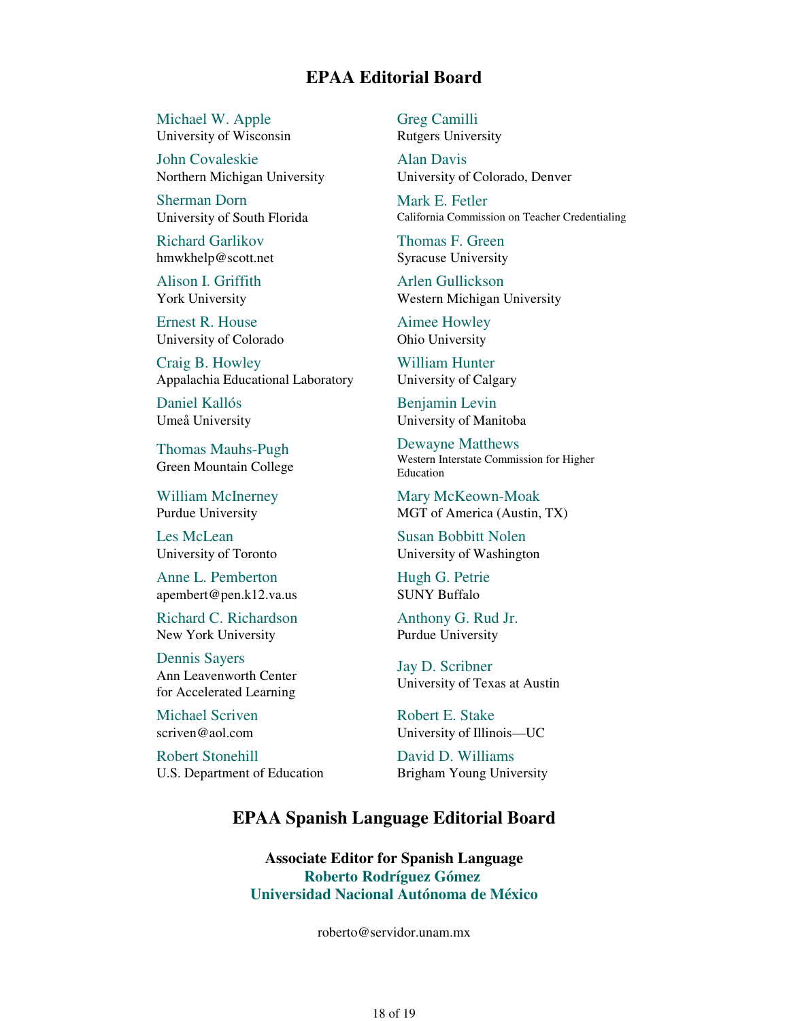# **EPAA Editorial Board**

Michael W. Apple University of Wisconsin

John Covaleskie Northern Michigan University

Sherman Dorn University of South Florida

Richard Garlikov hmwkhelp@scott.net

Alison I. Griffith York University

Ernest R. House University of Colorado

Craig B. Howley Appalachia Educational Laboratory

Daniel Kallós Umeå University

Thomas Mauhs-Pugh Green Mountain College

William McInerney Purdue University

Les McLean University of Toronto

Anne L. Pemberton apembert@pen.k12.va.us

Richard C. Richardson New York University

Dennis Sayers Ann Leavenworth Center for Accelerated Learning

Michael Scriven scriven@aol.com

Robert Stonehill U.S. Department of Education Greg Camilli Rutgers University

Alan Davis University of Colorado, Denver

Mark E. Fetler California Commission on Teacher Credentialing

Thomas F. Green Syracuse University

Arlen Gullickson Western Michigan University

Aimee Howley Ohio University

William Hunter University of Calgary

Benjamin Levin University of Manitoba

Dewayne Matthews Western Interstate Commission for Higher Education

Mary McKeown-Moak MGT of America (Austin, TX)

Susan Bobbitt Nolen University of Washington

Hugh G. Petrie SUNY Buffalo

Anthony G. Rud Jr. Purdue University

Jay D. Scribner University of Texas at Austin

Robert E. Stake University of Illinois—UC

David D. Williams Brigham Young University

# **EPAA Spanish Language Editorial Board**

**Associate Editor for Spanish Language Roberto Rodríguez Gómez Universidad Nacional Autónoma de México**

roberto@servidor.unam.mx